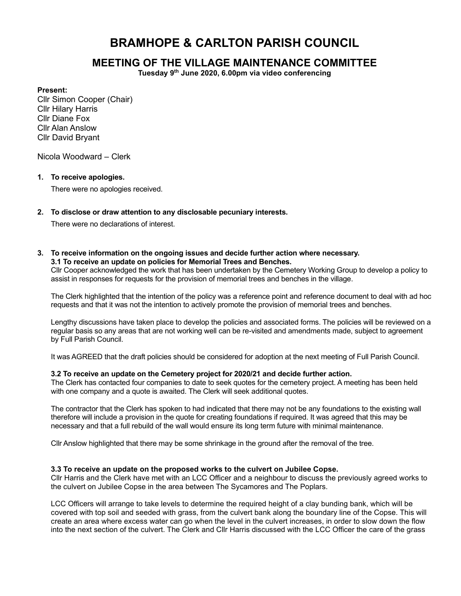# BRAMHOPE & CARLTON PARISH COUNCIL

# MEETING OF THE VILLAGE MAINTENANCE COMMITTEE

Tuesday 9th June 2020, 6.00pm via video conferencing

#### Present:

Cllr Simon Cooper (Chair) Cllr Hilary Harris Cllr Diane Fox Cllr Alan Anslow Cllr David Bryant

Nicola Woodward – Clerk

#### 1. To receive apologies.

There were no apologies received.

2. To disclose or draw attention to any disclosable pecuniary interests.

There were no declarations of interest.

#### 3. To receive information on the ongoing issues and decide further action where necessary. 3.1 To receive an update on policies for Memorial Trees and Benches.

Cllr Cooper acknowledged the work that has been undertaken by the Cemetery Working Group to develop a policy to assist in responses for requests for the provision of memorial trees and benches in the village.

The Clerk highlighted that the intention of the policy was a reference point and reference document to deal with ad hoc requests and that it was not the intention to actively promote the provision of memorial trees and benches.

Lengthy discussions have taken place to develop the policies and associated forms. The policies will be reviewed on a regular basis so any areas that are not working well can be re-visited and amendments made, subject to agreement by Full Parish Council.

It was AGREED that the draft policies should be considered for adoption at the next meeting of Full Parish Council.

### 3.2 To receive an update on the Cemetery project for 2020/21 and decide further action.

The Clerk has contacted four companies to date to seek quotes for the cemetery project. A meeting has been held with one company and a quote is awaited. The Clerk will seek additional quotes.

The contractor that the Clerk has spoken to had indicated that there may not be any foundations to the existing wall therefore will include a provision in the quote for creating foundations if required. It was agreed that this may be necessary and that a full rebuild of the wall would ensure its long term future with minimal maintenance.

Cllr Anslow highlighted that there may be some shrinkage in the ground after the removal of the tree.

#### 3.3 To receive an update on the proposed works to the culvert on Jubilee Copse.

Cllr Harris and the Clerk have met with an LCC Officer and a neighbour to discuss the previously agreed works to the culvert on Jubilee Copse in the area between The Sycamores and The Poplars.

LCC Officers will arrange to take levels to determine the required height of a clay bunding bank, which will be covered with top soil and seeded with grass, from the culvert bank along the boundary line of the Copse. This will create an area where excess water can go when the level in the culvert increases, in order to slow down the flow into the next section of the culvert. The Clerk and Cllr Harris discussed with the LCC Officer the care of the grass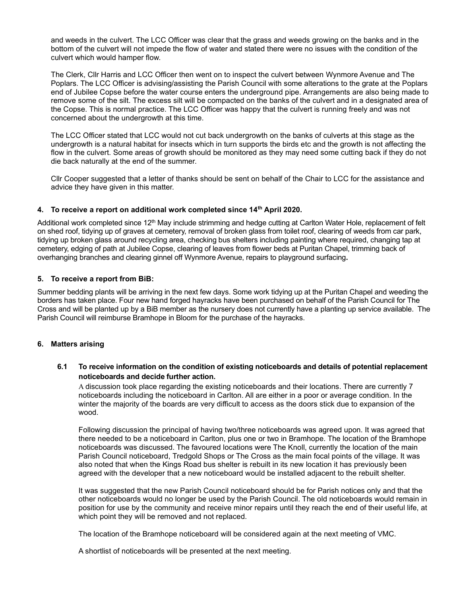and weeds in the culvert. The LCC Officer was clear that the grass and weeds growing on the banks and in the bottom of the culvert will not impede the flow of water and stated there were no issues with the condition of the culvert which would hamper flow.

The Clerk, Cllr Harris and LCC Officer then went on to inspect the culvert between Wynmore Avenue and The Poplars. The LCC Officer is advising/assisting the Parish Council with some alterations to the grate at the Poplars end of Jubilee Copse before the water course enters the underground pipe. Arrangements are also being made to remove some of the silt. The excess silt will be compacted on the banks of the culvert and in a designated area of the Copse. This is normal practice. The LCC Officer was happy that the culvert is running freely and was not concerned about the undergrowth at this time.

The LCC Officer stated that LCC would not cut back undergrowth on the banks of culverts at this stage as the undergrowth is a natural habitat for insects which in turn supports the birds etc and the growth is not affecting the flow in the culvert. Some areas of growth should be monitored as they may need some cutting back if they do not die back naturally at the end of the summer.

Cllr Cooper suggested that a letter of thanks should be sent on behalf of the Chair to LCC for the assistance and advice they have given in this matter.

### 4. To receive a report on additional work completed since 14<sup>th</sup> April 2020.

Additional work completed since  $12<sup>th</sup>$  May include strimming and hedge cutting at Carlton Water Hole, replacement of felt on shed roof, tidying up of graves at cemetery, removal of broken glass from toilet roof, clearing of weeds from car park, tidying up broken glass around recycling area, checking bus shelters including painting where required, changing tap at cemetery, edging of path at Jubilee Copse, clearing of leaves from flower beds at Puritan Chapel, trimming back of overhanging branches and clearing ginnel off Wynmore Avenue, repairs to playground surfacing.

### 5. To receive a report from BiB:

Summer bedding plants will be arriving in the next few days. Some work tidying up at the Puritan Chapel and weeding the borders has taken place. Four new hand forged hayracks have been purchased on behalf of the Parish Council for The Cross and will be planted up by a BiB member as the nursery does not currently have a planting up service available. The Parish Council will reimburse Bramhope in Bloom for the purchase of the hayracks.

#### 6. Matters arising

# 6.1 To receive information on the condition of existing noticeboards and details of potential replacement noticeboards and decide further action.

A discussion took place regarding the existing noticeboards and their locations. There are currently 7 noticeboards including the noticeboard in Carlton. All are either in a poor or average condition. In the winter the majority of the boards are very difficult to access as the doors stick due to expansion of the wood.

Following discussion the principal of having two/three noticeboards was agreed upon. It was agreed that there needed to be a noticeboard in Carlton, plus one or two in Bramhope. The location of the Bramhope noticeboards was discussed. The favoured locations were The Knoll, currently the location of the main Parish Council noticeboard, Tredgold Shops or The Cross as the main focal points of the village. It was also noted that when the Kings Road bus shelter is rebuilt in its new location it has previously been agreed with the developer that a new noticeboard would be installed adjacent to the rebuilt shelter.

It was suggested that the new Parish Council noticeboard should be for Parish notices only and that the other noticeboards would no longer be used by the Parish Council. The old noticeboards would remain in position for use by the community and receive minor repairs until they reach the end of their useful life, at which point they will be removed and not replaced.

The location of the Bramhope noticeboard will be considered again at the next meeting of VMC.

A shortlist of noticeboards will be presented at the next meeting.